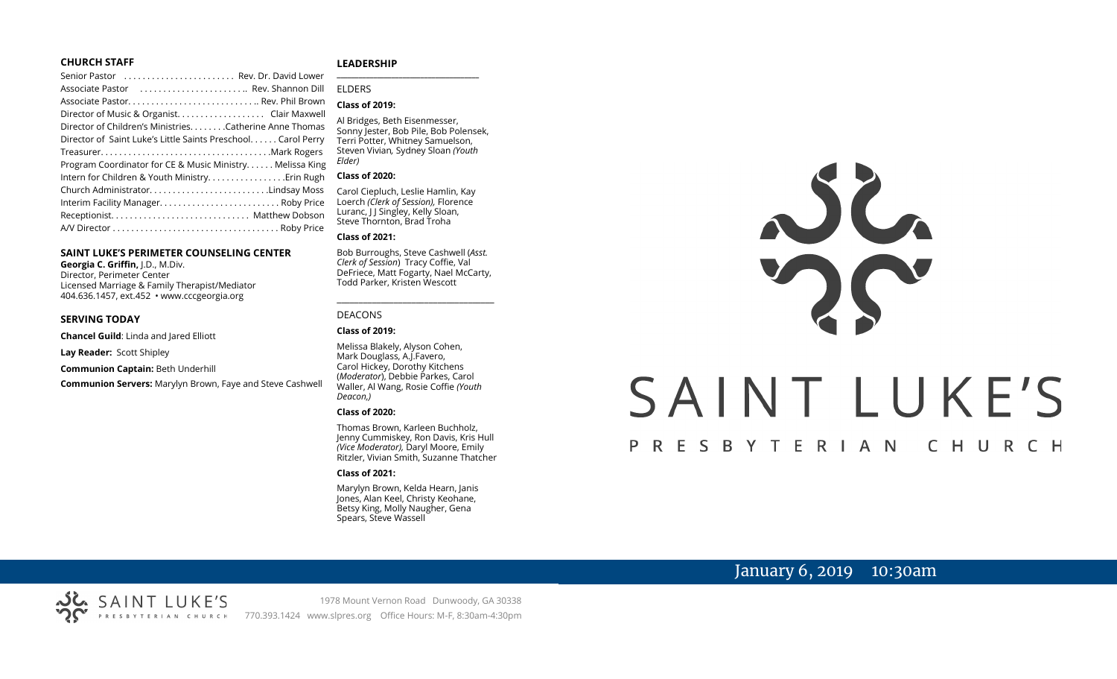#### **CHURCH STAFF**

| Senior Pastor  Rev. Dr. David Lower                          |  |
|--------------------------------------------------------------|--|
| Associate Pastor  Rev. Shannon Dill                          |  |
|                                                              |  |
| Director of Music & Organist. Clair Maxwell                  |  |
| Director of Children's Ministries. Catherine Anne Thomas     |  |
| Director of Saint Luke's Little Saints Preschool Carol Perry |  |
|                                                              |  |
| Program Coordinator for CE & Music Ministry Melissa King     |  |
| Intern for Children & Youth Ministry. Erin Rugh              |  |
| Church AdministratorLindsay Moss                             |  |
| Interim Facility Manager Roby Price                          |  |
|                                                              |  |
|                                                              |  |

#### **SAINT LUKE'S PERIMETER COUNSELING CENTER**

**Georgia C. Griffin,** J.D., M.Div. Director, Perimeter Center Licensed Marriage & Family Therapist/Mediator 404.636.1457, ext.452 • www.cccgeorgia.org

#### **SERVING TODAY**

**Chancel Guild**: Linda and Jared Elliott

**Lay Reader:** Scott Shipley

**Communion Captain:** Beth Underhill

**Communion Servers:** Marylyn Brown, Faye and Steve Cashwell

#### **LEADERSHIP** **\_\_\_\_\_\_\_\_\_\_\_\_\_\_\_\_\_\_\_\_\_\_\_\_\_\_\_\_\_\_\_\_\_\_\_\_\_\_\_**

#### ELDERS

#### **Class of 2019:**

Al Bridges, Beth Eisenmesser, Sonny Jester, Bob Pile, Bob Polensek, Terri Potter, Whitney Samuelson, Steven Vivian*,* Sydney Sloan *(Youth Elder)*

#### **Class of 2020:**

Carol Ciepluch, Leslie Hamlin, Kay Loerch *(Clerk of Session),* Florence Luranc, I J Singley, Kelly Sloan, Steve Thornton, Brad Troha

#### **Class of 2021:**

Bob Burroughs, Steve Cashwell (*Asst. Clerk of Session*) Tracy Coffie, Val DeFriece, Matt Fogarty, Nael McCarty, Todd Parker, Kristen Wescott

\_\_\_\_\_\_\_\_\_\_\_\_\_\_\_\_\_\_\_\_\_\_\_\_\_\_\_\_\_\_\_\_\_\_\_\_

#### DEACONS

#### **Class of 2019:**

Melissa Blakely, Alyson Cohen, Mark Douglass, A.J.Favero, Carol Hickey, Dorothy Kitchens (*Moderator*), Debbie Parkes, Carol Waller, Al Wang, Rosie Coffie *(Youth Deacon,)* 

#### **Class of 2020:**

Thomas Brown, Karleen Buchholz, Jenny Cummiskey, Ron Davis, Kris Hull *(Vice Moderator),* Daryl Moore, Emily Ritzler, Vivian Smith, Suzanne Thatcher

#### **Class of 2021:**

Marylyn Brown, Kelda Hearn, Janis Jones, Alan Keel, Christy Keohane, Betsy King, Molly Naugher, Gena Spears, Steve Wassell



# SAINT LUKE'S

#### P R E S B Y T E R I A N CHURCH

# January 6, 2019 10:30am

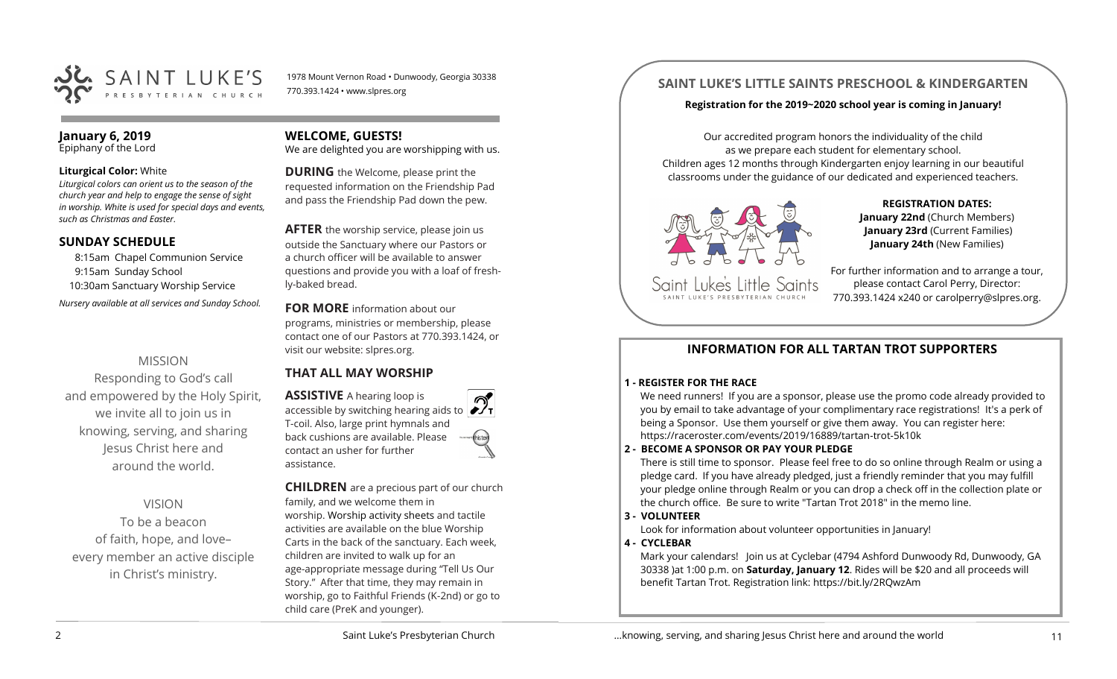

1978 Mount Vernon Road • Dunwoody, Georgia 30338 770.393.1424 • www.slpres.org

#### **January 6, 2019** Epiphany of the Lord

#### **Liturgical Color:** White

*Liturgical colors can orient us to the season of the church year and help to engage the sense of sight in worship. White is used for special days and events, such as Christmas and Easter.*

#### **SUNDAY SCHEDULE**

8:15am Chapel Communion Service 9:15am Sunday School 10:30am Sanctuary Worship Service *Nursery available at all services and Sunday School.* 

# MISSION

Responding to God's call and empowered by the Holy Spirit, we invite all to join us in knowing, serving, and sharing Jesus Christ here and around the world.

# VISION

To be a beacon of faith, hope, and love– every member an active disciple in Christ's ministry.

#### **WELCOME, GUESTS!**

We are delighted you are worshipping with us.

**DURING** the Welcome, please print the requested information on the Friendship Pad and pass the Friendship Pad down the pew.

**AFTER** the worship service, please join us outside the Sanctuary where our Pastors or a church officer will be available to answer questions and provide you with a loaf of freshly-baked bread.

**FOR MORE** information about our programs, ministries or membership, please contact one of our Pastors at 770.393.1424, or visit our website: slpres.org.

# **THAT ALL MAY WORSHIP**

**ASSISTIVE** A hearing loop is accessible by switching hearing aids to T-coil. Also, large print hymnals and back cushions are available. Please contact an usher for further assistance.

**CHILDREN** are a precious part of our church family, and we welcome them in worship. Worship activity sheets and tactile activities are available on the blue Worship Carts in the back of the sanctuary. Each week, children are invited to walk up for an age-appropriate message during "Tell Us Our Story." After that time, they may remain in worship, go to Faithful Friends (K-2nd) or go to child care (PreK and younger).

# **SAINT LUKE'S LITTLE SAINTS PRESCHOOL & KINDERGARTEN**

#### **Registration for the 2019~2020 school year is coming in January!**

Our accredited program honors the individuality of the child as we prepare each student for elementary school. Children ages 12 months through Kindergarten enjoy learning in our beautiful classrooms under the guidance of our dedicated and experienced teachers.



**REGISTRATION DATES: January 22nd** (Church Members) **January 23rd** (Current Families) **January 24th** (New Families)

For further information and to arrange a tour, please contact Carol Perry, Director: 770.393.1424 x240 or [carolperry@slpres.org.](mailto:carolperry@slpres.org)

# **INFORMATION FOR ALL TARTAN TROT SUPPORTERS**

#### **1 - REGISTER FOR THE RACE**

We need runners! If you are a sponsor, please use the promo code already provided to you by email to take advantage of your complimentary race registrations! It's a perk of being a Sponsor. Use them yourself or give them away. You can register here: [https://raceroster.com/events/2019/16889/tartan](https://raceroster.com/events/2019/16889/tartan-trot-5k10k)-trot-5k10k

#### **2 - BECOME A SPONSOR OR PAY YOUR PLEDGE**

There is still time to sponsor. Please feel free to do so online through Realm or using a pledge card. If you have already pledged, just a friendly reminder that you may fulfill your pledge online through Realm or you can drop a check off in the collection plate or the church office. Be sure to write "Tartan Trot 2018" in the memo line.

#### **3 - VOLUNTEER**

Look for information about volunteer opportunities in January!

## **4 - CYCLEBAR**

Mark your calendars! Join us at Cyclebar (4794 Ashford Dunwoody Rd, Dunwoody, GA 30338 )at 1:00 p.m. on **Saturday, January 12**. Rides will be \$20 and all proceeds will benefit Tartan Trot. Registration link: <https://bit.ly/2RQwzAm>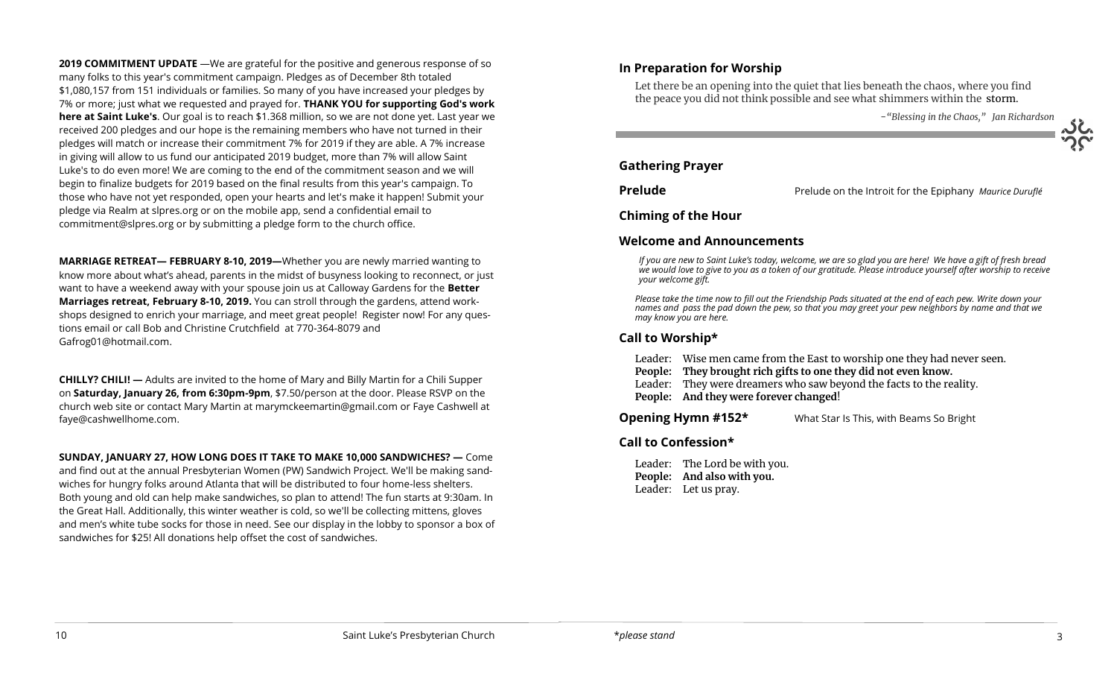**2019 COMMITMENT UPDATE** —We are grateful for the positive and generous response of so many folks to this year's commitment campaign. Pledges as of December 8th totaled \$1,080,157 from 151 individuals or families. So many of you have increased your pledges by 7% or more; just what we requested and prayed for. **THANK YOU for supporting God's work here at Saint Luke's**. Our goal is to reach \$1.368 million, so we are not done yet. Last year we received 200 pledges and our hope is the remaining members who have not turned in their pledges will match or increase their commitment 7% for 2019 if they are able. A 7% increase in giving will allow to us fund our anticipated 2019 budget, more than 7% will allow Saint Luke's to do even more! We are coming to the end of the commitment season and we will begin to finalize budgets for 2019 based on the final results from this year's campaign. To those who have not yet responded, open your hearts and let's make it happen! Submit your pledge via Realm at slpres.org or on the mobile app, send a confidential email to [commitment@slpres.org](mailto:commitment@slpres.org) or by submitting a pledge form to the church office.

**MARRIAGE RETREAT— FEBRUARY 8-10, 2019—**Whether you are newly married wanting to know more about what's ahead, parents in the midst of busyness looking to reconnect, or just want to have a weekend away with your spouse join us at Calloway Gardens for the **Better Marriages retreat, February 8-10, 2019.** You can stroll through the gardens, attend workshops designed to enrich your marriage, and meet great people! Register now! For any questions email or call Bob and Christine Crutchfield at 770-364-8079 and [Gafrog01@hotmail.com.](mailto:Gafrog01@hotmail.com)

**CHILLY? CHILI! —** Adults are invited to the home of Mary and Billy Martin for a Chili Supper on **Saturday, January 26, from 6:30pm-9pm**, \$7.50/person at the door. Please RSVP on the church web site or contact Mary Martin at [marymckeemartin@gmail.com](mailto:marymckeemartin@gmail.com) or Faye Cashwell at [faye@cashwellhome.com.](mailto:faye@cashwellhome.com)

**SUNDAY, JANUARY 27, HOW LONG DOES IT TAKE TO MAKE 10,000 SANDWICHES? —** Come and find out at the annual Presbyterian Women (PW) Sandwich Project. We'll be making sandwiches for hungry folks around Atlanta that will be distributed to four home-less shelters. Both young and old can help make sandwiches, so plan to attend! The fun starts at 9:30am. In the Great Hall. Additionally, this winter weather is cold, so we'll be collecting mittens, gloves and men's white tube socks for those in need. See our display in the lobby to sponsor a box of sandwiches for \$25! All donations help offset the cost of sandwiches.

#### **In Preparation for Worship**

Let there be an opening into the quiet that lies beneath the chaos, where you find the peace you did not think possible and see what shimmers within the storm.

-*"Blessing in the Chaos," Jan Richardson*

#### **Gathering Prayer**

l

**Prelude** Prelude on the Introit for the Epiphany *Maurice Duruflé* 

**Chiming of the Hour**

#### **Welcome and Announcements**

*If you are new to Saint Luke's today, welcome, we are so glad you are here! We have a gift of fresh bread we would love to give to you as a token of our gratitude. Please introduce yourself after worship to receive your welcome gift.*

*Please take the time now to fill out the Friendship Pads situated at the end of each pew. Write down your names and pass the pad down the pew, so that you may greet your pew neighbors by name and that we may know you are here.*

#### **Call to Worship\***

Leader: Wise men came from the East to worship one they had never seen.

- **People: They brought rich gifts to one they did not even know.**
- Leader: They were dreamers who saw beyond the facts to the reality. **People: And they were forever changed**!

**Opening Hymn #152\*** What Star Is This, with Beams So Bright

#### **Call to Confession\***

Leader: The Lord be with you. **People: And also with you.**  Leader: Let us pray.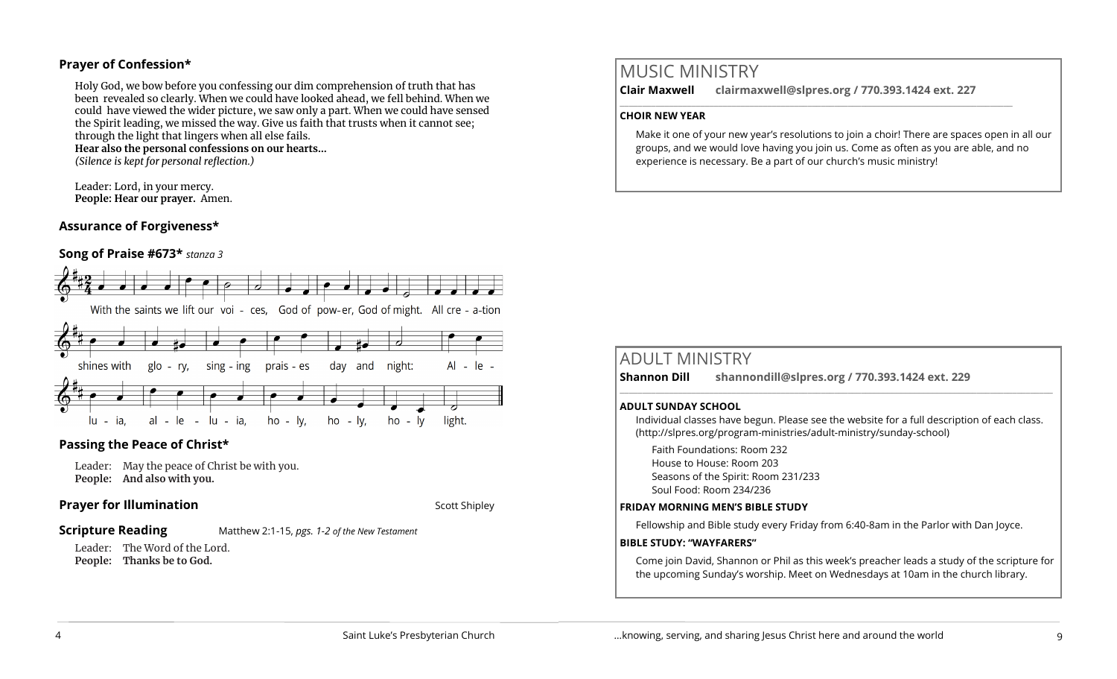#### **Prayer of Confession\***

Holy God, we bow before you confessing our dim comprehension of truth that has been revealed so clearly. When we could have looked ahead, we fell behind. When we could have viewed the wider picture, we saw only a part. When we could have sensed the Spirit leading, we missed the way. Give us faith that trusts when it cannot see; through the light that lingers when all else fails. **Hear also the personal confessions on our hearts…** *(Silence is kept for personal reflection.)*

Leader: Lord, in your mercy. **People: Hear our prayer.** Amen.

#### **Assurance of Forgiveness\***

#### **Song of Praise #673\*** *stanza 3*



#### **Passing the Peace of Christ\***

Leader: May the peace of Christ be with you. **People: And also with you.** 

#### **Prayer for Illumination** Scott Shipley

#### **Scripture Reading** Matthew 2:1-15, *pgs. 1-2 of the New Testament*

Leader: The Word of the Lord.

**People: Thanks be to God.** 

# MUSIC MINISTRY

**Clair Maxwell clairmaxwell@slpres.org / 770.393.1424 ext. 227** 

 $\_$  ,  $\_$  ,  $\_$  ,  $\_$  ,  $\_$  ,  $\_$  ,  $\_$  ,  $\_$  ,  $\_$  ,  $\_$  ,  $\_$  ,  $\_$  ,  $\_$  ,  $\_$  ,  $\_$  ,  $\_$  ,  $\_$  ,  $\_$ 

#### **CHOIR NEW YEAR**

Make it one of your new year's resolutions to join a choir! There are spaces open in all our groups, and we would love having you join us. Come as often as you are able, and no experience is necessary. Be a part of our church's music ministry!

# ADULT MINISTRY

**Shannon Dill shannondill@slpres.org / 770.393.1424 ext. 229** 

#### **ADULT SUNDAY SCHOOL**

Individual classes have begun. Please see the website for a full description of each class. (http://slpres.org/program-ministries/adult-ministry/sunday-school)

 $\_$  ,  $\_$  ,  $\_$  ,  $\_$  ,  $\_$  ,  $\_$  ,  $\_$  ,  $\_$  ,  $\_$  ,  $\_$  ,  $\_$  ,  $\_$  ,  $\_$  ,  $\_$  ,  $\_$  ,  $\_$  ,  $\_$  ,  $\_$  ,  $\_$ 

Faith Foundations: Room 232 House to House: Room 203 Seasons of the Spirit: Room 231/233 Soul Food: Room 234/236

#### **FRIDAY MORNING MEN'S BIBLE STUDY**

Fellowship and Bible study every Friday from 6:40-8am in the Parlor with Dan Joyce.

#### **BIBLE STUDY: "WAYFARERS"**

Come join David, Shannon or Phil as this week's preacher leads a study of the scripture for the upcoming Sunday's worship. Meet on Wednesdays at 10am in the church library.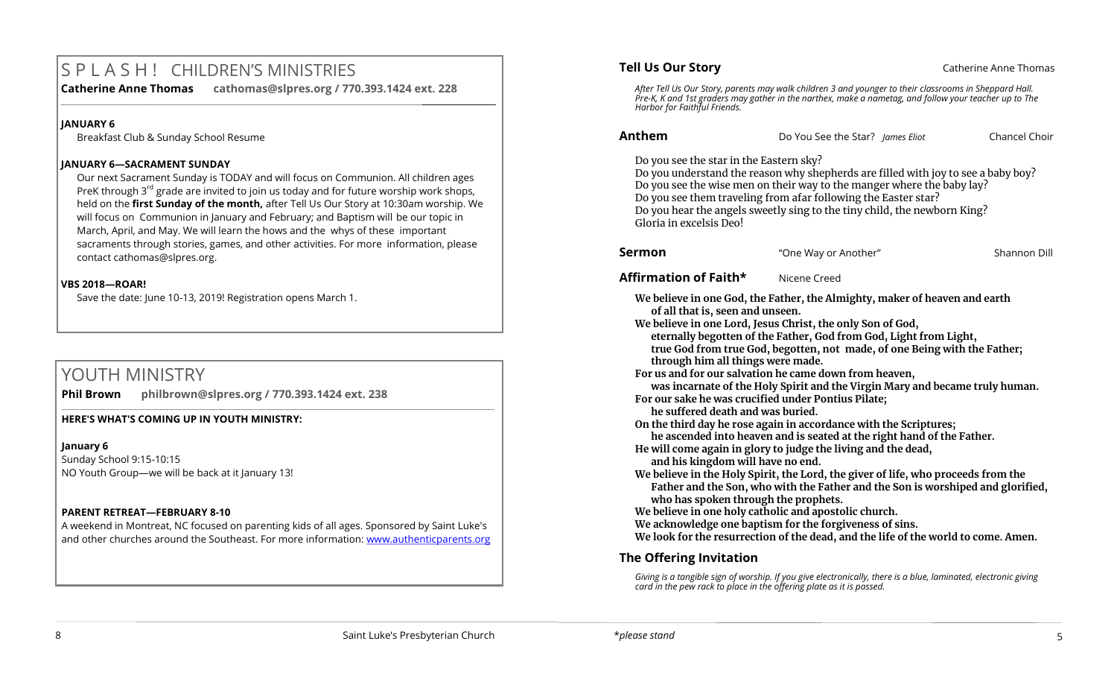# S P L A S H ! CHILDREN'S MINISTRIES

**Catherine Anne Thomas cathomas@slpres.org / 770.393.1424 ext. 228 \_\_\_\_\_\_\_\_\_\_\_\_\_\_\_\_\_\_\_\_\_\_\_\_\_\_\_\_\_\_\_\_\_\_\_\_\_\_\_\_\_\_\_\_\_\_\_\_\_\_\_\_\_\_\_\_\_\_\_\_\_\_\_\_\_\_\_\_\_\_\_\_\_\_\_\_\_\_\_\_\_\_\_\_\_\_\_\_\_\_\_\_\_\_\_\_\_\_\_\_\_\_\_\_\_\_** 

#### **JANUARY 6**

Breakfast Club & Sunday School Resume

#### **JANUARY 6—SACRAMENT SUNDAY**

Our next Sacrament Sunday is TODAY and will focus on Communion. All children ages PreK through 3<sup>rd</sup> grade are invited to join us today and for future worship work shops, held on the **first Sunday of the month,** after Tell Us Our Story at 10:30am worship. We will focus on Communion in January and February; and Baptism will be our topic in March, April, and May. We will learn the hows and the whys of these important sacraments through stories, games, and other activities. For more information, please contact [cathomas@slpres.org.](mailto:cathomas@slpres.org) 

#### **VBS 2018—ROAR!**

Save the date: June 10-13, 2019! Registration opens March 1.

# YOUTH MINISTRY

**Phil Brown philbrown@slpres.org / 770.393.1424 ext. 238** 

#### **HERE'S WHAT'S COMING UP IN YOUTH MINISTRY:**

**January 6** Sunday School 9:15-10:15 NO Youth Group—we will be back at it January 13!

#### **PARENT RETREAT—FEBRUARY 8-10**

A weekend in Montreat, NC focused on parenting kids of all ages. Sponsored by Saint Luke's and other churches around the Southeast. For more information: [www.authenticparents.org](http://www.authenticparents.org)

 $\_$  ,  $\_$  ,  $\_$  ,  $\_$  ,  $\_$  ,  $\_$  ,  $\_$  ,  $\_$  ,  $\_$  ,  $\_$  ,  $\_$  ,  $\_$  ,  $\_$  ,  $\_$  ,  $\_$  ,  $\_$  ,  $\_$  ,  $\_$  ,  $\_$  ,  $\_$  ,  $\_$  ,  $\_$  ,  $\_$  ,  $\_$  ,  $\_$  ,  $\_$  ,  $\_$  ,  $\_$  ,  $\_$  ,  $\_$  ,  $\_$  ,  $\_$  ,  $\_$  ,  $\_$  ,  $\_$  ,  $\_$  ,  $\_$  ,

#### **Tell Us Our Story Catherine Anne Thomas Catherine Anne Thomas**

*After Tell Us Our Story, parents may walk children 3 and younger to their classrooms in Sheppard Hall. Pre-K, K and 1st graders may gather in the narthex, make a nametag, and follow your teacher up to The Harbor for Faithful Friends.*

#### **Anthem** Do You See the Star? *James Eliot*Chancel Choir

Do you see the star in the Eastern sky?

Do you understand the reason why shepherds are filled with joy to see a baby boy? Do you see the wise men on their way to the manger where the baby lay? Do you see them traveling from afar following the Easter star? Do you hear the angels sweetly sing to the tiny child, the newborn King? Gloria in excelsis Deo!

| Sermon | "One Way or Another" | Shannon Dill |
|--------|----------------------|--------------|
|        |                      |              |

#### **Affirmation of Faith\*** Nicene Creed

**We believe in one God, the Father, the Almighty, maker of heaven and earth of all that is, seen and unseen.**

**We believe in one Lord, Jesus Christ, the only Son of God,** 

**eternally begotten of the Father, God from God, Light from Light, true God from true God, begotten, not made, of one Being with the Father;** 

**through him all things were made.**

**For us and for our salvation he came down from heaven,**

**was incarnate of the Holy Spirit and the Virgin Mary and became truly human.**

**For our sake he was crucified under Pontius Pilate;**

**he suffered death and was buried.**

**On the third day he rose again in accordance with the Scriptures;**

**he ascended into heaven and is seated at the right hand of the Father.** 

**He will come again in glory to judge the living and the dead,**

**and his kingdom will have no end.**

**We believe in the Holy Spirit, the Lord, the giver of life, who proceeds from the Father and the Son, who with the Father and the Son is worshiped and glorified, who has spoken through the prophets.**

**We believe in one holy catholic and apostolic church.**

**We acknowledge one baptism for the forgiveness of sins.**

**We look for the resurrection of the dead, and the life of the world to come. Amen.**

## **The Offering Invitation**

*Giving is a tangible sign of worship. If you give electronically, there is a blue, laminated, electronic giving card in the pew rack to place in the offering plate as it is passed.*